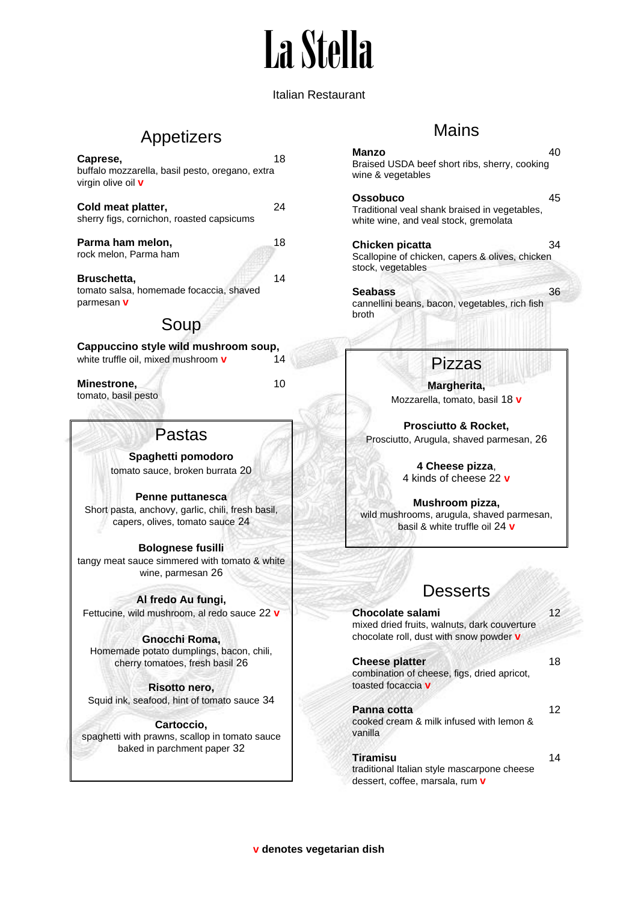# La Stella

#### Italian Restaurant

# Appetizers

| 'actac                                                                                   |    |
|------------------------------------------------------------------------------------------|----|
| <b>Minestrone,</b><br>tomato, basil pesto                                                | 10 |
| Cappuccino style wild mushroom soup,<br>white truffle oil, mixed mushroom <b>v</b>       | 14 |
| Soup                                                                                     |    |
| Bruschetta.<br>tomato salsa, homemade focaccia, shaved<br>parmesan V                     | 14 |
| Parma ham melon,<br>rock melon, Parma ham                                                | 18 |
| Cold meat platter,<br>sherry figs, cornichon, roasted capsicums                          | 24 |
| Caprese,<br>buffalo mozzarella, basil pesto, oregano, extra<br>virgin olive oil <b>v</b> | 18 |

## sias

**Spaghetti pomodoro** tomato sauce, broken burrata 20

**Penne puttanesca** Short pasta, anchovy, garlic, chili, fresh basil, capers, olives, tomato sauce 24

#### **Bolognese fusilli**

tangy meat sauce simmered with tomato & white wine, parmesan 26

#### **Al fredo Au fungi,**

Fettucine, wild mushroom, al redo sauce 22 **v**

**Gnocchi Roma,** Homemade potato dumplings, bacon, chili, cherry tomatoes, fresh basil 26

**Risotto nero,** Squid ink, seafood, hint of tomato sauce 34

**Cartoccio,** spaghetti with prawns, scallop in tomato sauce baked in parchment paper 32

### **Mains**

#### **Manzo** 40 Braised USDA beef short ribs, sherry, cooking wine & vegetables

**Ossobuco** 45 Traditional veal shank braised in vegetables, white wine, and veal stock, gremolata

**Chicken picatta** 34 Scallopine of chicken, capers & olives, chicken stock, vegetables

**Seabass** 36 cannellini beans, bacon, vegetables, rich fish broth

# Pizzas

**Margherita,** Mozzarella, tomato, basil 18 **v**

**Prosciutto & Rocket,** Prosciutto, Arugula, shaved parmesan, 26

> **4 Cheese pizza**, 4 kinds of cheese 22 **v**

**Mushroom pizza,** wild mushrooms, arugula, shaved parmesan, basil & white truffle oil 24 **v**

## **Desserts**

| Chocolate salami<br>mixed dried fruits, walnuts, dark couverture<br>chocolate roll, dust with snow powder v | 12 |
|-------------------------------------------------------------------------------------------------------------|----|
| <b>Cheese platter</b><br>combination of cheese, figs, dried apricot,<br>toasted focaccia v                  | 18 |
| Panna cotta<br>cooked cream & milk infused with lemon &<br>vanilla                                          | 12 |
| <b>Tiramisu</b>                                                                                             |    |

traditional Italian style mascarpone cheese dessert, coffee, marsala, rum **v**

**v denotes vegetarian dish**